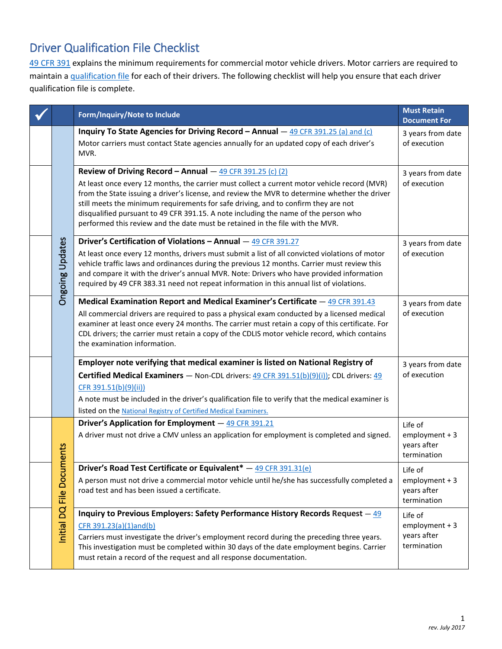## Driver Qualification File Checklist

[49 CFR 391](http://www.ecfr.gov/cgi-bin/text-idx?SID=a3df8513487fd0b8fb2b88c6f6b5cfec&mc=true&node=pt49.5.391&rgn=div5) explains the minimum requirements for commercial motor vehicle drivers. Motor carriers are required to maintain a [qualification file](http://www.ecfr.gov/cgi-bin/text-idx?SID=c639bc4bdb4e6a0fd8f1deacd9df3308&mc=true&node=pt49.5.391&rgn=div5#se49.5.391_151) for each of their drivers. The following checklist will help you ensure that each driver qualification file is complete.

|  |                                | Form/Inquiry/Note to Include                                                                                                                                                                                                                                                                                                                                                                                                                                                                                               | <b>Must Retain</b><br><b>Document For</b>                 |
|--|--------------------------------|----------------------------------------------------------------------------------------------------------------------------------------------------------------------------------------------------------------------------------------------------------------------------------------------------------------------------------------------------------------------------------------------------------------------------------------------------------------------------------------------------------------------------|-----------------------------------------------------------|
|  | <b>Ongoing Updates</b>         | Inquiry To State Agencies for Driving Record - Annual - 49 CFR 391.25 (a) and (c)<br>Motor carriers must contact State agencies annually for an updated copy of each driver's<br>MVR.                                                                                                                                                                                                                                                                                                                                      | 3 years from date<br>of execution                         |
|  |                                | Review of Driving Record - Annual $-$ 49 CFR 391.25 (c) (2)<br>At least once every 12 months, the carrier must collect a current motor vehicle record (MVR)<br>from the State issuing a driver's license, and review the MVR to determine whether the driver<br>still meets the minimum requirements for safe driving, and to confirm they are not<br>disqualified pursuant to 49 CFR 391.15. A note including the name of the person who<br>performed this review and the date must be retained in the file with the MVR. | 3 years from date<br>of execution                         |
|  |                                | Driver's Certification of Violations - Annual - 49 CFR 391.27<br>At least once every 12 months, drivers must submit a list of all convicted violations of motor<br>vehicle traffic laws and ordinances during the previous 12 months. Carrier must review this<br>and compare it with the driver's annual MVR. Note: Drivers who have provided information<br>required by 49 CFR 383.31 need not repeat information in this annual list of violations.                                                                     | 3 years from date<br>of execution                         |
|  |                                | Medical Examination Report and Medical Examiner's Certificate - 49 CFR 391.43<br>All commercial drivers are required to pass a physical exam conducted by a licensed medical<br>examiner at least once every 24 months. The carrier must retain a copy of this certificate. For<br>CDL drivers; the carrier must retain a copy of the CDLIS motor vehicle record, which contains<br>the examination information.                                                                                                           | 3 years from date<br>of execution                         |
|  |                                | Employer note verifying that medical examiner is listed on National Registry of<br><b>Certified Medical Examiners</b> - Non-CDL drivers: $49$ CFR 391.51(b)(9)(i)); CDL drivers: $49$<br>CFR 391.51(b)(9)(ii))<br>A note must be included in the driver's qualification file to verify that the medical examiner is<br>listed on the National Registry of Certified Medical Examiners.                                                                                                                                     | 3 years from date<br>of execution                         |
|  | uments<br>Initial DQ File Docu | Driver's Application for Employment - 49 CFR 391.21<br>A driver must not drive a CMV unless an application for employment is completed and signed.                                                                                                                                                                                                                                                                                                                                                                         | Life of<br>$employment + 3$<br>years after<br>termination |
|  |                                | Driver's Road Test Certificate or Equivalent* - 49 CFR 391.31(e)<br>A person must not drive a commercial motor vehicle until he/she has successfully completed a<br>road test and has been issued a certificate.                                                                                                                                                                                                                                                                                                           | Life of<br>$employment + 3$<br>years after<br>termination |
|  |                                | Inquiry to Previous Employers: Safety Performance History Records Request $-\frac{49}{3}$<br>CFR 391.23(a)(1)and(b)<br>Carriers must investigate the driver's employment record during the preceding three years.<br>This investigation must be completed within 30 days of the date employment begins. Carrier<br>must retain a record of the request and all response documentation.                                                                                                                                     | Life of<br>$employment + 3$<br>years after<br>termination |